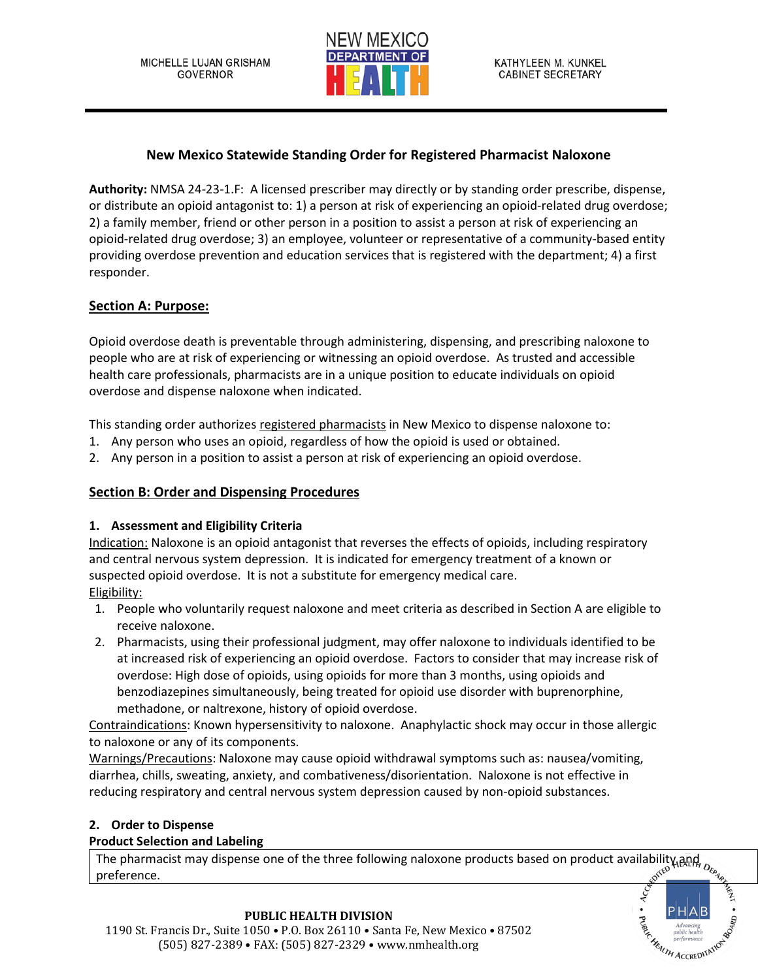

# **New Mexico Statewide Standing Order for Registered Pharmacist Naloxone**

**Authority:** NMSA 24-23-1.F: A licensed prescriber may directly or by standing order prescribe, dispense, or distribute an opioid antagonist to: 1) a person at risk of experiencing an opioid-related drug overdose; 2) a family member, friend or other person in a position to assist a person at risk of experiencing an opioid-related drug overdose; 3) an employee, volunteer or representative of a community-based entity providing overdose prevention and education services that is registered with the department; 4) a first responder.

# **Section A: Purpose:**

Opioid overdose death is preventable through administering, dispensing, and prescribing naloxone to people who are at risk of experiencing or witnessing an opioid overdose. As trusted and accessible health care professionals, pharmacists are in a unique position to educate individuals on opioid overdose and dispense naloxone when indicated.

This standing order authorizes registered pharmacists in New Mexico to dispense naloxone to:

- 1. Any person who uses an opioid, regardless of how the opioid is used or obtained.
- 2. Any person in a position to assist a person at risk of experiencing an opioid overdose.

### **Section B: Order and Dispensing Procedures**

### **1. Assessment and Eligibility Criteria**

Indication: Naloxone is an opioid antagonist that reverses the effects of opioids, including respiratory and central nervous system depression. It is indicated for emergency treatment of a known or suspected opioid overdose. It is not a substitute for emergency medical care. Eligibility:

- 1. People who voluntarily request naloxone and meet criteria as described in Section A are eligible to receive naloxone.
- 2. Pharmacists, using their professional judgment, may offer naloxone to individuals identified to be at increased risk of experiencing an opioid overdose. Factors to consider that may increase risk of overdose: High dose of opioids, using opioids for more than 3 months, using opioids and benzodiazepines simultaneously, being treated for opioid use disorder with buprenorphine, methadone, or naltrexone, history of opioid overdose.

Contraindications: Known hypersensitivity to naloxone. Anaphylactic shock may occur in those allergic to naloxone or any of its components.

Warnings/Precautions: Naloxone may cause opioid withdrawal symptoms such as: nausea/vomiting, diarrhea, chills, sweating, anxiety, and combativeness/disorientation. Naloxone is not effective in reducing respiratory and central nervous system depression caused by non-opioid substances.

## **2. Order to Dispense**

### **Product Selection and Labeling**

The pharmacist may dispense one of the three following naloxone products based on product availability and preference. preference.



#### **PUBLIC HEALTH DIVISION** 1190 St. Francis Dr., Suite 1050 • P.O. Box 26110 • Santa Fe, New Mexico • 87502 (505) 827-2389 • FAX: (505) 827-2329 • www.nmhealth.org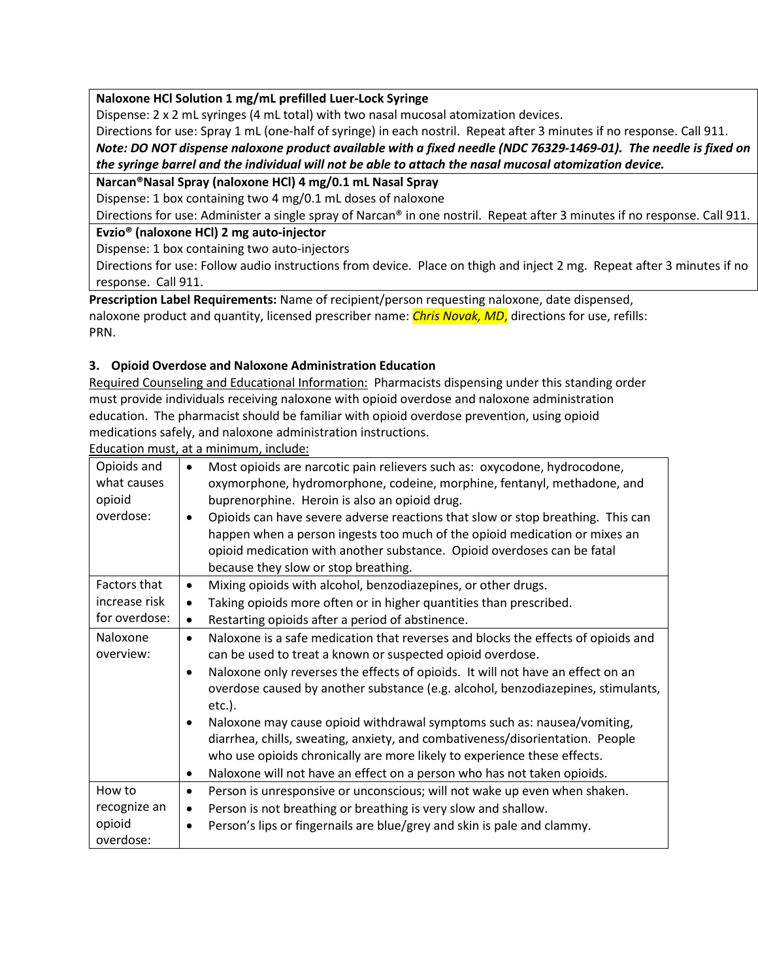**Naloxone HCl Solution 1 mg/mL prefilled Luer-Lock Syringe**

Dispense: 2 x 2 mL syringes (4 mL total) with two nasal mucosal atomization devices.

Directions for use: Spray 1 mL (one-half of syringe) in each nostril. Repeat after 3 minutes if no response. Call 911. *Note: DO NOT dispense naloxone product available with a fixed needle (NDC 76329-1469-01). The needle is fixed on the syringe barrel and the individual will not be able to attach the nasal mucosal atomization device.*

### **Narcan®Nasal Spray (naloxone HCl) 4 mg/0.1 mL Nasal Spray**

Dispense: 1 box containing two 4 mg/0.1 mL doses of naloxone

Directions for use: Administer a single spray of Narcan® in one nostril. Repeat after 3 minutes if no response. Call 911.

## **Evzio® (naloxone HCl) 2 mg auto-injector**

Dispense: 1 box containing two auto-injectors

Directions for use: Follow audio instructions from device. Place on thigh and inject 2 mg. Repeat after 3 minutes if no response. Call 911.

**Prescription Label Requirements:** Name of recipient/person requesting naloxone, date dispensed, naloxone product and quantity, licensed prescriber name: *Chris Novak, MD*, directions for use, refills: PRN.

## **3. Opioid Overdose and Naloxone Administration Education**

Required Counseling and Educational Information: Pharmacists dispensing under this standing order must provide individuals receiving naloxone with opioid overdose and naloxone administration education. The pharmacist should be familiar with opioid overdose prevention, using opioid medications safely, and naloxone administration instructions.

Education must, at a minimum, include:

| Opioids and   | Most opioids are narcotic pain relievers such as: oxycodone, hydrocodone,                      |
|---------------|------------------------------------------------------------------------------------------------|
| what causes   | oxymorphone, hydromorphone, codeine, morphine, fentanyl, methadone, and                        |
| opioid        | buprenorphine. Heroin is also an opioid drug.                                                  |
| overdose:     | Opioids can have severe adverse reactions that slow or stop breathing. This can                |
|               | happen when a person ingests too much of the opioid medication or mixes an                     |
|               | opioid medication with another substance. Opioid overdoses can be fatal                        |
|               | because they slow or stop breathing.                                                           |
| Factors that  | Mixing opioids with alcohol, benzodiazepines, or other drugs.<br>$\bullet$                     |
| increase risk | Taking opioids more often or in higher quantities than prescribed.<br>$\bullet$                |
| for overdose: | Restarting opioids after a period of abstinence.                                               |
| Naloxone      | Naloxone is a safe medication that reverses and blocks the effects of opioids and<br>$\bullet$ |
| overview:     | can be used to treat a known or suspected opioid overdose.                                     |
|               | Naloxone only reverses the effects of opioids. It will not have an effect on an                |
|               | overdose caused by another substance (e.g. alcohol, benzodiazepines, stimulants,               |
|               | $etc.$ ).                                                                                      |
|               | Naloxone may cause opioid withdrawal symptoms such as: nausea/vomiting,<br>$\bullet$           |
|               | diarrhea, chills, sweating, anxiety, and combativeness/disorientation. People                  |
|               | who use opioids chronically are more likely to experience these effects.                       |
|               | Naloxone will not have an effect on a person who has not taken opioids.<br>٠                   |
| How to        | Person is unresponsive or unconscious; will not wake up even when shaken.<br>٠                 |
| recognize an  | Person is not breathing or breathing is very slow and shallow.<br>$\bullet$                    |
| opioid        | Person's lips or fingernails are blue/grey and skin is pale and clammy.                        |
| overdose:     |                                                                                                |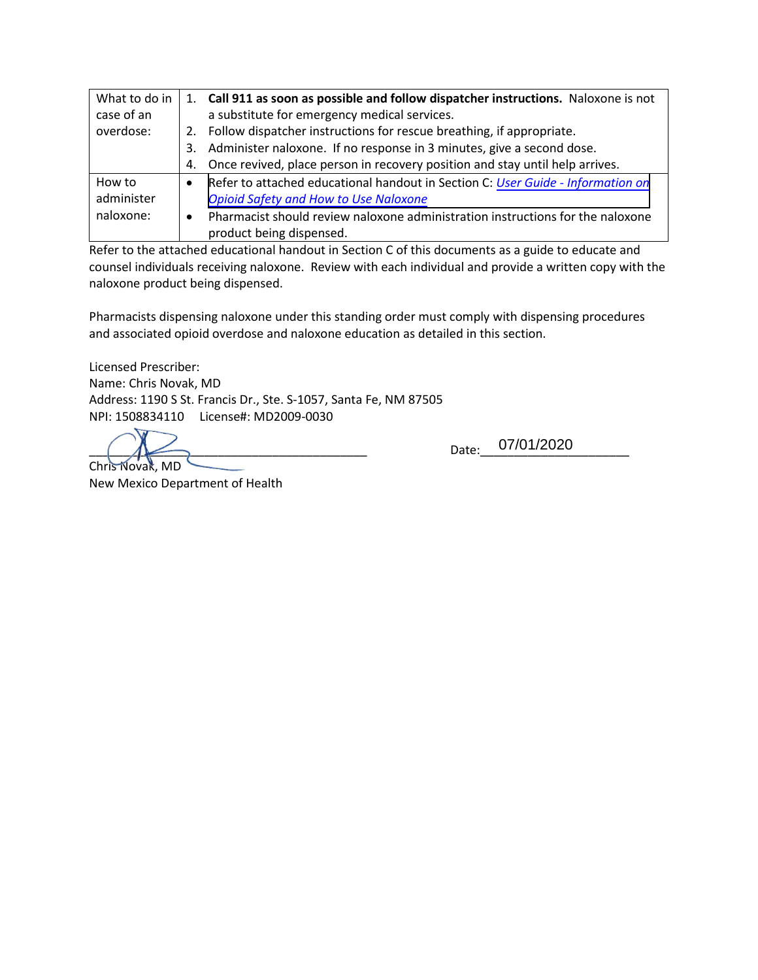| What to do in |    | 1. Call 911 as soon as possible and follow dispatcher instructions. Naloxone is not |
|---------------|----|-------------------------------------------------------------------------------------|
| case of an    |    | a substitute for emergency medical services.                                        |
| overdose:     |    | 2. Follow dispatcher instructions for rescue breathing, if appropriate.             |
|               | 3. | Administer naloxone. If no response in 3 minutes, give a second dose.               |
|               | 4. | Once revived, place person in recovery position and stay until help arrives.        |
| How to        |    | Refer to attached educational handout in Section C: User Guide - Information on     |
| administer    |    | <b>Opioid Safety and How to Use Naloxone</b>                                        |
| naloxone:     |    | Pharmacist should review naloxone administration instructions for the naloxone      |
|               |    | product being dispensed.                                                            |

Refer to the attached educational handout in Section C of this documents as a guide to educate and counsel individuals receiving naloxone. Review with each individual and provide a written copy with the naloxone product being dispensed.

Pharmacists dispensing naloxone under this standing order must comply with dispensing procedures and associated opioid overdose and naloxone education as detailed in this section.

Licensed Prescriber: Name: Chris Novak, MD Address: 1190 S St. Francis Dr., Ste. S-1057, Santa Fe, NM 87505 NPI: 1508834110 License#: MD2009-0030

 $\bigcirc$   $\bigwedge$   $\bigwedge$   $\bigwedge$   $\bigwedge$   $\bigwedge$   $\bigwedge$   $\bigwedge$   $\bigwedge$   $\bigwedge$   $\bigwedge$   $\bigwedge$   $\bigwedge$   $\bigwedge$   $\bigwedge$   $\bigwedge$   $\bigwedge$   $\bigwedge$   $\bigwedge$   $\bigwedge$   $\bigwedge$   $\bigwedge$   $\bigwedge$   $\bigwedge$   $\bigwedge$   $\bigwedge$   $\bigwedge$   $\bigwedge$   $\bigwedge$   $\bigwedge$   $\bigwedge$   $\bigwedge$ Chris Novak, MD

New Mexico Department of Health